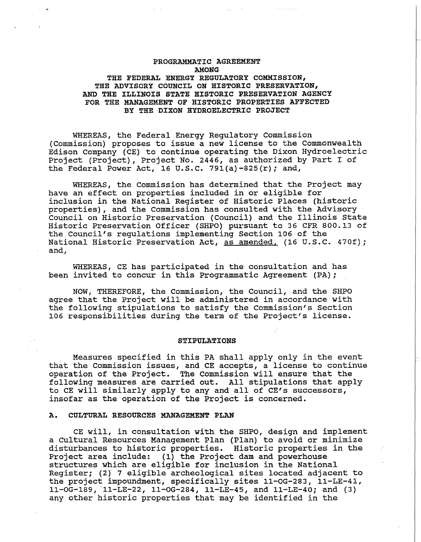# **PROGRAMMATIC AGREEMENT AMONG**

## **THE FEDERAL ENERGY REGULATORY COMMISSION, THE ADVISORY COUNCIL ON HISTORIC PRESERVATION, AND THE ILLINOIS STATE HISTORIC PRESERVATION AGENCY FOR THE MANAGEMENT OF HISTORIC PROPERTIES AFFECTED BY THE DIXON HYDROELECTRIC PROJECT**

WHEREAS, the Federal Energy Regulatory Commission (Commission) proposes to issue a new license to the Commonwealth Edison Company (CE) to continue operating the Dixon Hydroelectric Project (Project), Project No. 2446, as authorized by Part I of the Federal Power Act, 16 U.S.C. 791(a)-825 $(r)$ ; and,

WHEREAS, the Commission has determined that the Project may have an effect on properties included in or eligible for inclusion in the National Register of Historic Places (historic properties), and the commission has consulted with the Advisory Council on Historic Preservation (Council) and the Illinois State Historic Preservation Officer {SHPO) pursuant to 36 CFR. 800.13 of the Council's regulations implementing Section 106 of the National Historic Preservation Act, as amended, (16 U.S.C. 470f); and,

WHEREAS, CE has participated in the consultation and has been invited to concur in this Programmatic Agreement (PA);

**NOW, THEREFORE, the Commission, the Council, and the SHPO**  agree that the Project will be administered in accordance with the following stipulations to satisfy the Commission's Section 106 responsibilities during the term of the Project's license.

#### **STIPULATIONS**

Measures specified in this PA shall apply only in the event that the Commission issues, and CE accepts, a license to continue operation of the Project. The Commission will ensure that the following measures are carried out. All stipulations that apply to CE will similarly apply to any and all of CE's successors, insofar as the operation of the Project is concerned.

#### **A. CULTURAL RESOURCES MANAGEMENT PLAN**

CE will, in consultation with the SHPO, design and implement a Cultural Resources Management Plan (Plan) to avoid or minimize disturbances to historic properties. Historic properties in the Project area include: (1) the Project dam and powerhouse structures which are eligible for inclusion in the National Register; (2)" 7 eligible archeological sites located adjacent to the project impoundment, specifically sites ll-OG-283, ll-LE-41,  $11-0G-189$ ,  $11-LE-22$ ,  $11-0G-284$ ,  $11-LE-45$ , and  $11-LE-40$ ; and (3) any other historic properties that may be identified in the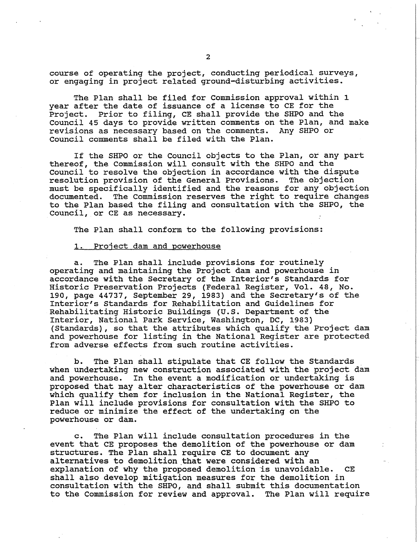course of operating the project, conducting periodical surveys, or engaging in project related ground-disturbing activities.

The Plan shall be filed for Commission approval within 1 year after the date of issuance of a license to CE for the Project. Prior to filing, CE shall provide the SHPO and the Council 45 days to provide written comments on the Plan, and make revisions as necessary based on the comments. Any SHPO or Council comments shall be filed with the Plan.

If the SHPO or the Council objects to the Plan, or any part thereof, the Commission will consult with the SHPO and the council to resolve the objection in accordance with the dispute resolution provision of the General Provisions. The objection must be specifically identified and the reasons for any objection documented. The Commission reserves the right to require changes to the Plan based the filing and consultation with the SHPO, the Council, or CE as necessary.

The Plan shall conform to the following provisions:

## 1. Project dam and powerhouse

a. The Plan shall include provisions for routinely operating and maintaining the Project dam and powerhouse in accordance with the Secretary of the Interior's Standards for Historic Preservation Projects (Federal Register, Vol. 48, No. 190, page 44737, September 29, 1983) and the Secretary's of the Interior's standards for Rehabilitation and Guidelines for Rehabilitating Historic Buildings (U.S. Department of the Interior, National Park Service, Washington, DC, 1983) {Standards), so that the attributes which qualify the Project dam and powerhouse for listing in the National Register are protected from adverse effects from such routine activities.

b. The Plan shall stipulate that CE follow the Standards when undertaking new construction associated with the project dam and powerhouse. In the event a modification or undertaking is proposed that may alter characteristics of the powerhouse or dam which qualify them for inclusion in the National Register, the Plan will include provisions for consultation with the SHPO to reduce or minimize the effect of the undertaking on the powerhouse or dam.

c. The Plan will include consultation procedures in the event that CE proposes the demolition of the powerhouse or dam structures. The Plan shall require CE to document any alternatives to demolition that were considered with an explanation of why the proposed demolition is unavoidable. CE shall also develop mitigation measures for the demolition in consultation with the SHPO, and shall submit this documentation to the Commission for review and approval. The Plan will require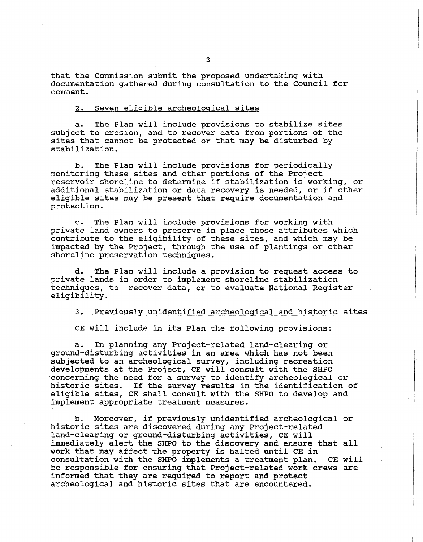that the Commission submit the proposed undertaking with documentation gathered during consultation to the Council for comment.

## 2. Seven eligible archeological sites

a. The Plan will include provisions to stabilize sites subject to erosion, and to recover data from portions of the sites that cannot be protected or that may be disturbed by stabilization.

b. The Plan will include provisions for periodically monitoring these sites and other portions of the Project reservoir shoreline to determine if stabilization is working, or additional stabilization or data recovery is needed, or if other eligible sites may be present that require documentation and protection.

c. The Plan will include provisions for working with private land owners to preserve in place those attributes which contribute to the eligibility of these sites, and which may be impacted by the Project, through the use of plantings or other shoreline preservation techniques.

d. The Plan will include a provision to request access to private lands in order to implement shoreline stabilization techniques, to recover data, or to evaluate National Register eligibility.

3. Previously unidentified archeological and historic sites

CE will include in its Plan the following.provisions:

a. In planning any Project-related land-clearing or ground-disturbing activities in an area which has not been subjected to an archeological survey, including recreation developments at the Project, CE will consult with the SHPO concerning the need for a survey to identify archeological or historic sites. If the survey results in the identification of eligible sites, CE shall consult with the SHPO to develop and implement appropriate treatment measures.

b. Moreover, if previously unidentified archeological or historic sites are discovered during any.Project-related land-clearing or ground-disturbing activities, CE will immediately alert the SHPO to the discovery and ensure that all work that may affect the property is halted until CE in consultation with the SHPO implements a treatment plan. CE will be responsible for ensuring that Project-related work crews are informed that they are required to report and protect archeological and historic sites that are encountered.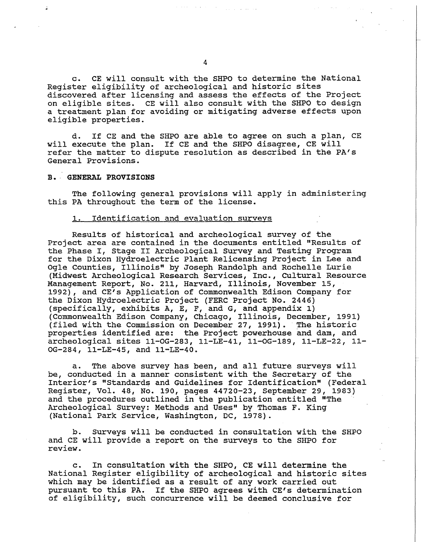c. CE will consult with the SHPO to determine the National Register eligibility of archeological and historic sites discovered after licensing and assess the effects of the Project on eligible sites. CE will also consult with the SHPO to design a treatment plan for avoiding or mitigating adverse effects upon eligible properties.

d. If CE and the SHPO are able to agree on such a plan, CE will execute the plan. If CE and the SHPO disagree, CE will refer the matter to dispute resolution as described in the PA's General Provisions.

## **B •. GENERAL PROVISIONS**

The following general provisions will apply in administering this PA throughout the term of the license.

## 1. Identification and evaluation surveys

Results of historical and archeological survey of the Project area are contained in the documents entitled "Results of the Phase I, Stage II Archeological Survey and Testing Program for the Dixon Hydroelectric Plant Relicensing Project in Lee and Ogle Counties, Illinois" by Joseph Randolph and Rochelle Lurie (Midwest Archeological Research Services, Inc., cultural Resource Management Report, No. 211, Harvard, Illinois, November 15, 1992), and CE's Application of Commonwealth Edison Company for the Dixon Hydroelectric Project (FERC Project No. 2446) (specifically, exhibits A, E, F, and G, and appendix 1) (Commonwealth Edison Company, Chicago, Illinois, December, 1991) (filed with the Commission on December 27, 1991). The historic properties identified are: the Project powerhouse and dam, and archeological sites 11-OG-283, ll-LE-41, ll-OG-189, ll-LE-22, 11- OG-284, 11-LE-45, and ll-LE-40.

a. The above survey has been, and all future surveys will be, conducted in a manner consistent with the Secretary of the Interior's "Standards and Guidelines for Identification" (Federal Register, Vol. 48, No. 190, pages 44720-23, September 29, 1983) and the procedures outlined in the publication entitled "The Archeological survey: Methods and Uses" by Thomas F. King (National Park Service, Washington, DC, 1978).

b. Surveys will be conducted in consultation with the SHPO and CE will provide a report on the surveys to the SHPO for review.

c. In consultation with the SHPO, CE will determine the National Register eligibility of archeological and historic sites which may be identified as a result of any work carried out pursuant to this PA. If the SHPO agrees with CE's determination of eligibility, such concurrence will be deemed conclusive for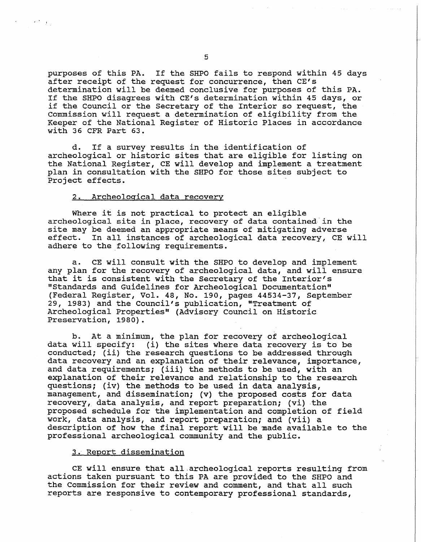purposes of this PA. If the SHPO fails to respond within 45 days after receipt of the request for concurrence, then CE's determination will be deemed conclusive for purposes of this PA. If the SHPO disagrees with CE's determination within 45 days, or if the Council or the Secretary of the Interior so request, the Commission will request a determination of eligibility from the Keeper of the National Register of Historic Places in accordance with 36 CFR Part 63.

d. If a survey results in the identification of archeological or historic sites that are eligible for listing on the National Register, CE will develop and implement a treatment plan in consultation with the SHPO for those sites subject to Project effects.

## 2. Archeological data recovery

Where it is not practical to protect an eligible archeological site in place, recovery of data contained in the site may be deemed an appropriate means of mitigating adverse<br>effect. In all instances of archeological data recovery, CE w In all instances of archeological data recovery, CE will adhere to the following requirements.

a. CE will consult with the SHPO to develop and implement any plan for the recovery of archeological data, and will ensure that it is consistent with the Secretary of the Interior's "Standards and Guidelines for Archeological Documentation" (Federal Register, Vol. 48, No. 190, pages 44534-37, September 29, 1983) and the Council's publication, "Treatment of Archeological Properties" (Advisory Council on Historic Preservation, 1980).

b. At a minimum, the plan for recovery of archeological data will specify: (i) the sites where data recovery is to be conducted; (ii) the research questions to be addressed through data recovery and an explanation of their relevance, importance, and data requirements; (iii) the methods to be used, with an explanation of their relevance and relationship to the research questions; (iv) the methods to be used in data analysis, management, and dissemination; (v) the proposed costs for data recovery, data analysis, and report preparation; (vi) the proposed schedule for the implementation and completion of field work, data analysis, and report preparation; and (vii) a description of how the final report will be made available to the professional archeological community and the public.

## 3. Report dissemination

CE will ensure that all.archeological reports resulting from actions taken pursuant to this PA are provided to the SHPO and the Commission for their review and comment, and that all such reports are responsive to contemporary professional standards,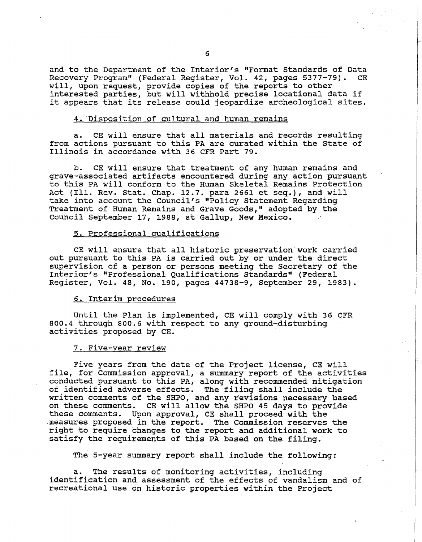and to the Department of the Interior's "Format Standards of Data<br>Recovery Program" (Federal Register, Vol. 42, pages 5377-79). CE Recovery Program" (Federal Register, Vol. 42, pages 5377-79). will, upon request, provide copies of the reports to other interested parties, but will withhold precise locational data if it appears that its release could jeopardize archeological sites.

## 4. Disposition of cultural and human remains

a. CE will ensure that all materials and records resulting from actions pursuant to this PA are curated within the State of Illinois in accordance with 36 CPR Part 79.

b. CE will ensure that treatment of any human remains and grave-associated artifacts encountered during any action pursuant to this PA will conform to the Human Skeletal Remains Protection Act (Ill. Rev. stat. Chap. 12.7. para 2661 et seq.), and will take into account the Council's "Policy Statement Regarding Treatment of Human Remains and Grave Goods," adopted by the Council September 17, 1988, at Gallup, New Mexico.

#### 5. Professional qualifications

CE will ensure that all historic preservation work carried out pursuant to this PA is carried out by or under the direct supervision of a person or persons meeting the Secretary of the Interior's "Professional Qualifications Standards" (Federal Register, Vol. 48, No. 190, pages 44738-9, September 29, 1983).

#### 6. Interim procedures

Until the Plan is implemented, CE will comply with 36 CFR 800.4 through 800.6 with respect to any ground~disturbing activities proposed by CE.

#### 7. Five-year review

Five years from the date of the Project license, CE will file, for Commission approval, a summary report of the activities conducted pursuant to this PA, along with recommended mitigation of identified adverse effects. The filing shall include the written comments of the SHPO, and any revisions necessary based on these comments. CE will allow the SHPO 45 days to provide these comments. Upon approval, CE shall proceed with the .measures proposed in the report. The Commission reserves the right to require changes to the report and additional work to satisfy the requirements of this PA based on the filing.

The 5-year summary report shall include the following:

a. The results of monitoring activities, including identification and assessment of the effects of vandalism and of recreational use on historic properties within the Project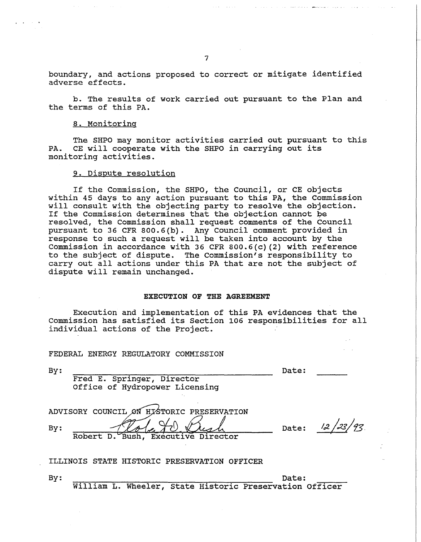boundary, and actions proposed to correct or mitigate identified adverse effects.

b. The results of work carried out pursuant to the Plan and the terms of this PA.

## 8. Monitoring

The SHPO may monitor activities carried out pursuant to this PA. CE will cooperate with the SHPO in carrying out its monitoring activities.

## 9. Dispute resolution

If the Commission, the SHPO, the Council, or CE objects within 45 days to any action pursuant to this PA, the Commission will consult with the objecting party to resolve the objection. If the Commission determines that the objection cannot be resolved, the Commission shall request comments of the Council pursuant to 36 CFR 800.6(b). Any Council comment provided in response to such a request will be taken into account by the Commission in accordance with 36 CFR 800.6(c) (2) with reference to the subject of dispute. The Commission's responsibility to carry out all actions under this PA that are not the subject of dispute will remain unchanged.

#### **EXECUTION OF THE AGREEMENT**

Execution and implementation of this PA evidences that the Commission has satisfied its Section 106 responsibilities for all individual actions of the Project.

#### FEDERAL ENERGY REGULATORY COMMISSION

Date:

Fred E. Springer, Director Office of Hydropower Licensing

ADVISORY COUNCIL ON HISTORIC PRESERVATION By: Robert D. Bush, Executive Director

Date:  $\frac{12}{33}$ /93. '

ILLINOIS STATE HISTORIC PRESERVATION OFFICER

By: Date: Date: William L. Wheeler, State Historic Preservation Officer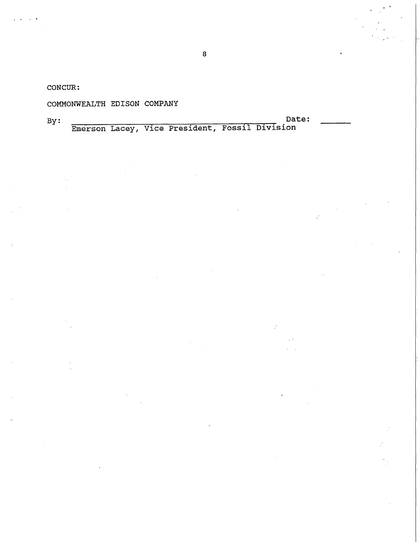CONCUR:

# COMMONWEALTH EDISON COMPANY

j • • •

By: --------......-----.------.....-::--....-...,.. Date: Emerson. Lacey, Vice President, Fossil Division